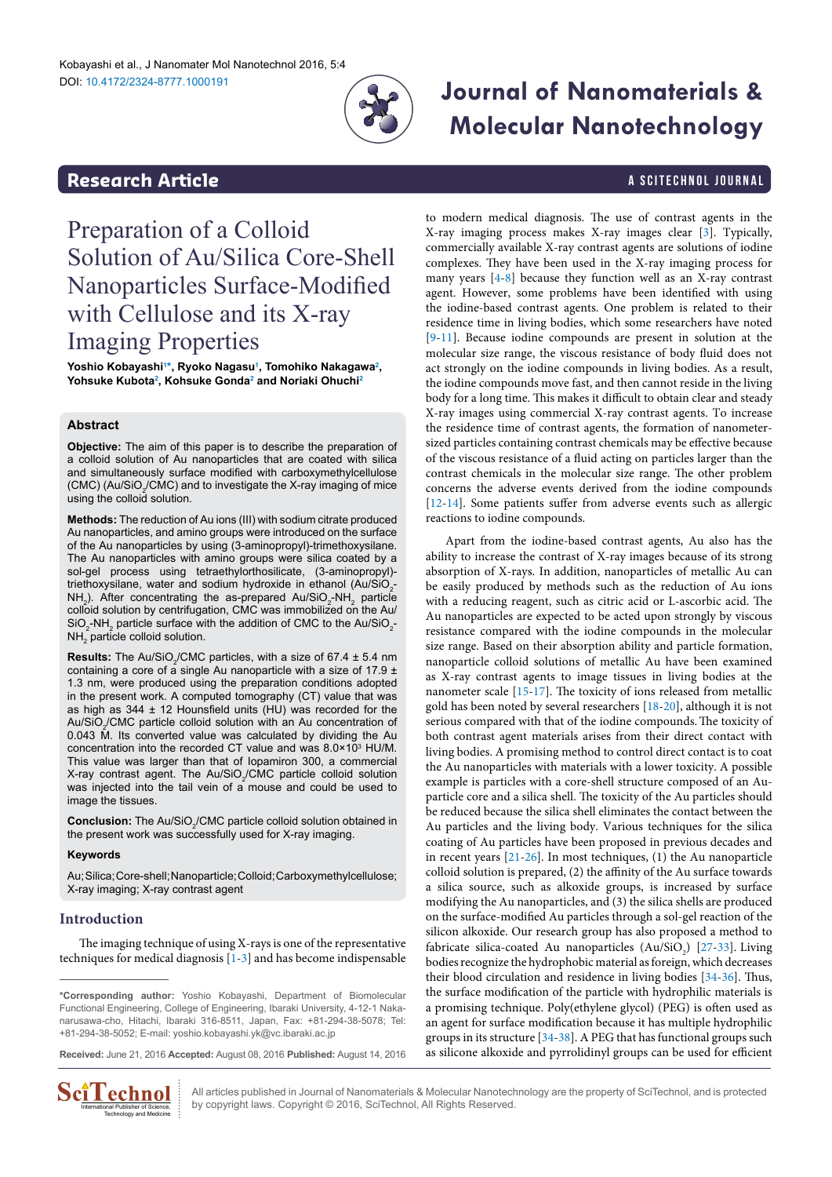

# <span id="page-0-1"></span>**Research Article a Scittering Control in the Scittering Article in the Scittering Article in the Scittering Library and Scittering Library and Scittering Library and Scittering Article in the Scittering Article in the S**

# **Journal of Nanomaterials & Molecular Nanotechnology**

Preparation of a Colloid Solution of Au/Silica Core-Shell Nanoparticles Surface-Modified with Cellulose and its X-ray Imaging Properties

**Yoshio Kobayashi[1](#page-5-0) [\\*,](#page-0-0) Ryoko Nagasu[1](#page-5-0) , Tomohiko Nakagawa[2](#page-5-1) , Yohsuke Kubota[2](#page-5-1) , Kohsuke Gond[a2](#page-5-1) and Noriaki Ohuch[i2](#page-5-1)**

# **Abstract**

**Objective:** The aim of this paper is to describe the preparation of a colloid solution of Au nanoparticles that are coated with silica and simultaneously surface modified with carboxymethylcellulose (CMC) (Au/SiO<sub>2</sub>/CMC) and to investigate the X-ray imaging of mice using the colloid solution.

**Methods:** The reduction of Au ions (III) with sodium citrate produced Au nanoparticles, and amino groups were introduced on the surface of the Au nanoparticles by using (3-aminopropyl)-trimethoxysilane. The Au nanoparticles with amino groups were silica coated by a sol-gel process using tetraethylorthosilicate, (3-aminopropyl) triethoxysilane, water and sodium hydroxide in ethanol (Au/SiO<sub>2</sub>- $NH<sub>2</sub>$ ). After concentrating the as-prepared  $Au/SIO<sub>2</sub>-NH<sub>2</sub>$  particle colloid solution by centrifugation, CMC was immobilized on the Au/  $\text{SiO}_2$ -NH<sub>2</sub> particle surface with the addition of CMC to the Au/SiO<sub>2</sub>- $\mathsf{NH}_2$  particle colloid solution.

**Results:** The Au/SiO<sub>2</sub>/CMC particles, with a size of 67.4  $\pm$  5.4 nm containing a core of a single Au nanoparticle with a size of 17.9  $\pm$ 1.3 nm, were produced using the preparation conditions adopted in the present work. A computed tomography (CT) value that was as high as  $344 \pm 12$  Hounsfield units (HU) was recorded for the Au/SiO<sub>2</sub>/CMC particle colloid solution with an Au concentration of 0.043 M. Its converted value was calculated by dividing the Au concentration into the recorded CT value and was  $8.0 \times 10^3$  HU/M. This value was larger than that of Iopamiron 300, a commercial X-ray contrast agent. The  $Au/SiO_2/CMC$  particle colloid solution was injected into the tail vein of a mouse and could be used to image the tissues.

**Conclusion:** The Au/SiO<sub>2</sub>/CMC particle colloid solution obtained in the present work was successfully used for X-ray imaging.

# **Keywords**

Au; Silica; Core-shell; Nanoparticle; Colloid; Carboxymethylcellulose; X-ray imaging; X-ray contrast agent

# **Introduction**

The imaging technique of using X-rays is one of the representative techniques for medical diagnosis [\[1](#page-4-0)-[3\]](#page-4-1) and has become indispensable

<span id="page-0-0"></span>**\*Corresponding author:** Yoshio Kobayashi, Department of Biomolecular Functional Engineering, College of Engineering, Ibaraki University, 4-12-1 Nakanarusawa-cho, Hitachi, Ibaraki 316-8511, Japan, Fax: +81-294-38-5078; Tel: +81-294-38-5052; E-mail: yoshio.kobayashi.yk@vc.ibaraki.ac.jp

**Received:** June 21, 2016 **Accepted:** August 08, 2016 **Published:** August 14, 2016



All articles published in Journal of Nanomaterials & Molecular Nanotechnology are the property of SciTechnol, and is protected by copyright laws. Copyright © 2016, SciTechnol, All Rights Reserved.

to modern medical diagnosis. The use of contrast agents in the X-ray imaging process makes X-ray images clear [\[3\]](#page-4-1). Typically, commercially available X-ray contrast agents are solutions of iodine complexes. They have been used in the X-ray imaging process for many years [[4](#page-4-2)[-8\]](#page-4-3) because they function well as an X-ray contrast agent. However, some problems have been identified with using the iodine-based contrast agents. One problem is related to their residence time in living bodies, which some researchers have noted [[9](#page-4-4)[-11\]](#page-4-5). Because iodine compounds are present in solution at the molecular size range, the viscous resistance of body fluid does not act strongly on the iodine compounds in living bodies. As a result, the iodine compounds move fast, and then cannot reside in the living body for a long time. This makes it difficult to obtain clear and steady X-ray images using commercial X-ray contrast agents. To increase the residence time of contrast agents, the formation of nanometersized particles containing contrast chemicals may be effective because of the viscous resistance of a fluid acting on particles larger than the contrast chemicals in the molecular size range. The other problem concerns the adverse events derived from the iodine compounds [[12](#page-4-6)-[14](#page-4-7)]. Some patients suffer from adverse events such as allergic reactions to iodine compounds.

Apart from the iodine-based contrast agents, Au also has the ability to increase the contrast of X-ray images because of its strong absorption of X-rays. In addition, nanoparticles of metallic Au can be easily produced by methods such as the reduction of Au ions with a reducing reagent, such as citric acid or L-ascorbic acid. The Au nanoparticles are expected to be acted upon strongly by viscous resistance compared with the iodine compounds in the molecular size range. Based on their absorption ability and particle formation, nanoparticle colloid solutions of metallic Au have been examined as X-ray contrast agents to image tissues in living bodies at the nanometer scale [[15](#page-4-8)-[17](#page-4-9)]. The toxicity of ions released from metallic gold has been noted by several researchers [\[18-](#page-4-10)[20\]](#page-4-11), although it is not serious compared with that of the iodine compounds.The toxicity of both contrast agent materials arises from their direct contact with living bodies. A promising method to control direct contact is to coat the Au nanoparticles with materials with a lower toxicity. A possible example is particles with a core-shell structure composed of an Auparticle core and a silica shell. The toxicity of the Au particles should be reduced because the silica shell eliminates the contact between the Au particles and the living body. Various techniques for the silica coating of Au particles have been proposed in previous decades and in recent years [[21](#page-4-12)-[26](#page-4-13)]. In most techniques, (1) the Au nanoparticle colloid solution is prepared, (2) the affinity of the Au surface towards a silica source, such as alkoxide groups, is increased by surface modifying the Au nanoparticles, and (3) the silica shells are produced on the surface-modified Au particles through a sol-gel reaction of the silicon alkoxide. Our research group has also proposed a method to fabricate silica-coated Au nanoparticles  $(Au/SiO<sub>2</sub>)$  [[27](#page-4-14)[-33](#page-4-15)]. Living bodies recognize the hydrophobic material as foreign, which decreases their blood circulation and residence in living bodies [[34](#page-5-2)-[36](#page-5-3)]. Thus, the surface modification of the particle with hydrophilic materials is a promising technique. Poly(ethylene glycol) (PEG) is often used as an agent for surface modification because it has multiple hydrophilic groups in its structure [[34](#page-5-2)-[38](#page-5-4)]. A PEG that has functional groups such as silicone alkoxide and pyrrolidinyl groups can be used for efficient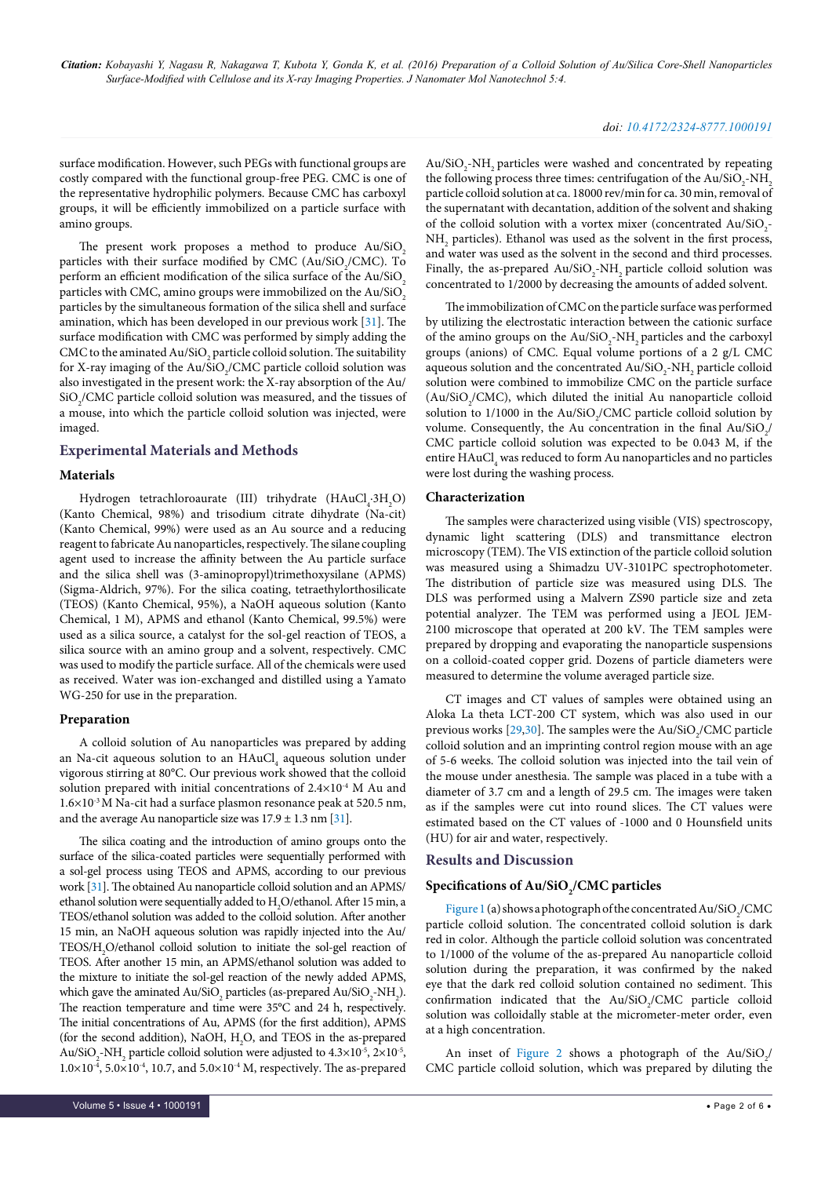surface modification. However, such PEGs with functional groups are costly compared with the functional group-free PEG. CMC is one of the representative hydrophilic polymers. Because CMC has carboxyl groups, it will be efficiently immobilized on a particle surface with amino groups.

The present work proposes a method to produce  $Au/SiO<sub>2</sub>$ particles with their surface modified by CMC  $(Au/SiO_2/CMC)$ . To perform an efficient modification of the silica surface of the Au/SiO<sub>2</sub> particles with CMC, amino groups were immobilized on the Au/SiO<sub>2</sub> particles by the simultaneous formation of the silica shell and surface amination, which has been developed in our previous work [\[31\]](#page-4-16). The surface modification with CMC was performed by simply adding the CMC to the aminated  $\text{Au/SiO}_2$  particle colloid solution. The suitability for X-ray imaging of the Au/SiO<sub>2</sub>/CMC particle colloid solution was also investigated in the present work: the X-ray absorption of the Au/  $SiO_2/CMC$  particle colloid solution was measured, and the tissues of a mouse, into which the particle colloid solution was injected, were imaged.

# **Experimental Materials and Methods**

### **Materials**

Hydrogen tetrachloroaurate (III) trihydrate (HAu $\text{Cl}_4$ ·3 $\text{H}_2\text{O}$ ) (Kanto Chemical, 98%) and trisodium citrate dihydrate (Na-cit) (Kanto Chemical, 99%) were used as an Au source and a reducing reagent to fabricate Au nanoparticles, respectively. The silane coupling agent used to increase the affinity between the Au particle surface and the silica shell was (3-aminopropyl)trimethoxysilane (APMS) (Sigma-Aldrich, 97%). For the silica coating, tetraethylorthosilicate (TEOS) (Kanto Chemical, 95%), a NaOH aqueous solution (Kanto Chemical, 1 M), APMS and ethanol (Kanto Chemical, 99.5%) were used as a silica source, a catalyst for the sol-gel reaction of TEOS, a silica source with an amino group and a solvent, respectively. CMC was used to modify the particle surface. All of the chemicals were used as received. Water was ion-exchanged and distilled using a Yamato WG-250 for use in the preparation.

#### **Preparation**

A colloid solution of Au nanoparticles was prepared by adding an Na-cit aqueous solution to an  $\mathrm{HAuCl}_{_4}$  aqueous solution under vigorous stirring at 80°C. Our previous work showed that the colloid solution prepared with initial concentrations of  $2.4\times10^{-4}$  M Au and  $1.6\times10^{3}$  M Na-cit had a surface plasmon resonance peak at 520.5 nm, and the average Au nanoparticle size was  $17.9 \pm 1.3$  nm [\[31](#page-4-16)].

The silica coating and the introduction of amino groups onto the surface of the silica-coated particles were sequentially performed with a sol-gel process using TEOS and APMS, according to our previous work [\[31](#page-4-16)]. The obtained Au nanoparticle colloid solution and an APMS/ ethanol solution were sequentially added to  $\rm H_2O/e$ thanol. After 15 min, a TEOS/ethanol solution was added to the colloid solution. After another 15 min, an NaOH aqueous solution was rapidly injected into the Au/ TEOS/H2 O/ethanol colloid solution to initiate the sol-gel reaction of TEOS. After another 15 min, an APMS/ethanol solution was added to the mixture to initiate the sol-gel reaction of the newly added APMS, which gave the aminated  $Au/SiO_2$  particles (as-prepared  $Au/SiO_2$ -NH<sub>2</sub>). The reaction temperature and time were 35°C and 24 h, respectively. The initial concentrations of Au, APMS (for the first addition), APMS (for the second addition), NaOH,  $H_2O$ , and TEOS in the as-prepared Au/SiO<sub>2</sub>-NH<sub>2</sub> particle colloid solution were adjusted to  $4.3 \times 10^{-5}$ ,  $2 \times 10^{-5}$ ,  $1.0\times10^{-4}$ ,  $5.0\times10^{-4}$ , 10.7, and  $5.0\times10^{-4}$  M, respectively. The as-prepared

 $Au/SiO<sub>2</sub>-NH<sub>2</sub>$  particles were washed and concentrated by repeating the following process three times: centrifugation of the  $\text{Au/SiO}_2\text{-}\text{NH}_2$ particle colloid solution at ca. 18000 rev/min for ca. 30 min, removal of the supernatant with decantation, addition of the solvent and shaking of the colloid solution with a vortex mixer (concentrated  $Au/SiO<sub>2</sub>$ - $NH<sub>2</sub>$  particles). Ethanol was used as the solvent in the first process, and water was used as the solvent in the second and third processes. Finally, the as-prepared  $Au/SiO_2-NH_2$  particle colloid solution was concentrated to 1/2000 by decreasing the amounts of added solvent.

The immobilization of CMC on the particle surface was performed by utilizing the electrostatic interaction between the cationic surface of the amino groups on the  $Au/SiO_2-NH_2$  particles and the carboxyl groups (anions) of CMC. Equal volume portions of a 2 g/L CMC aqueous solution and the concentrated  $\text{Au/SiO}_2\text{-NH}_2$  particle colloid solution were combined to immobilize CMC on the particle surface  $(Au/SiO<sub>2</sub>/CMC)$ , which diluted the initial Au nanoparticle colloid solution to  $1/1000$  in the Au/SiO<sub>2</sub>/CMC particle colloid solution by volume. Consequently, the Au concentration in the final  $Au/SiO<sub>2</sub>/$ CMC particle colloid solution was expected to be 0.043 M, if the entire  $\mathrm{HAuCl}_{4}$  was reduced to form Au nanoparticles and no particles were lost during the washing process.

# **Characterization**

The samples were characterized using visible (VIS) spectroscopy, dynamic light scattering (DLS) and transmittance electron microscopy (TEM). The VIS extinction of the particle colloid solution was measured using a Shimadzu UV-3101PC spectrophotometer. The distribution of particle size was measured using DLS. The DLS was performed using a Malvern ZS90 particle size and zeta potential analyzer. The TEM was performed using a JEOL JEM-2100 microscope that operated at 200 kV. The TEM samples were prepared by dropping and evaporating the nanoparticle suspensions on a colloid-coated copper grid. Dozens of particle diameters were measured to determine the volume averaged particle size.

CT images and CT values of samples were obtained using an Aloka La theta LCT-200 CT system, which was also used in our previous works [\[29,](#page-4-17)[30](#page-4-18)]. The samples were the  $Au/SiO_2/CMC$  particle colloid solution and an imprinting control region mouse with an age of 5-6 weeks. The colloid solution was injected into the tail vein of the mouse under anesthesia. The sample was placed in a tube with a diameter of 3.7 cm and a length of 29.5 cm. The images were taken as if the samples were cut into round slices. The CT values were estimated based on the CT values of -1000 and 0 Hounsfield units (HU) for air and water, respectively.

# **Results and Discussion**

# Specifications of Au/SiO<sub>2</sub>/CMC particles

Figure 1 (a) shows a photograph of the concentrated  $Au/SiO_2/CMC$ particle colloid solution. The concentrated colloid solution is dark red in color. Although the particle colloid solution was concentrated to 1/1000 of the volume of the as-prepared Au nanoparticle colloid solution during the preparation, it was confirmed by the naked eye that the dark red colloid solution contained no sediment. This confirmation indicated that the  $Au/SiO_2/CMC$  particle colloid solution was colloidally stable at the micrometer-meter order, even at a high concentration.

An inset of [Figure](#page-2-1) 2 shows a photograph of the  $Au/SiO_2/$ CMC particle colloid solution, which was prepared by diluting the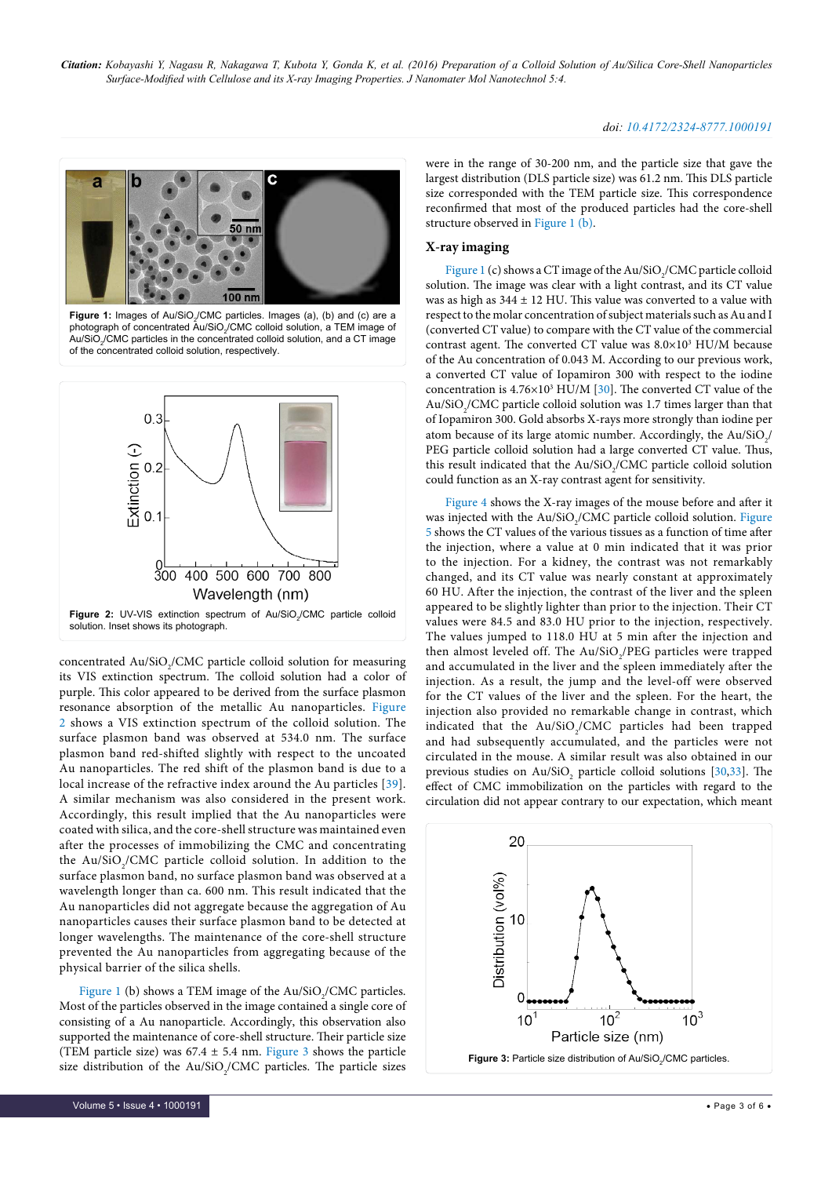<span id="page-2-0"></span>

**Figure 1:** Images of Au/SiO<sub>2</sub>/CMC particles. Images (a), (b) and (c) are a photograph of concentrated  $Au/SiO<sub>2</sub>/CMC$  colloid solution, a TEM image of Au/SiO<sub>2</sub>/CMC particles in the concentrated colloid solution, and a CT image of the concentrated colloid solution, respectively.

<span id="page-2-1"></span>

concentrated  $\text{Au/SiO}_2/\text{CMC}$  particle colloid solution for measuring its VIS extinction spectrum. The colloid solution had a color of purple. This color appeared to be derived from the surface plasmon resonance absorption of the metallic Au nanoparticles. [Figure](#page-2-1) [2](#page-2-1) shows a VIS extinction spectrum of the colloid solution. The surface plasmon band was observed at 534.0 nm. The surface plasmon band red-shifted slightly with respect to the uncoated Au nanoparticles. The red shift of the plasmon band is due to a local increase of the refractive index around the Au particles [\[39](#page-5-5)]. A similar mechanism was also considered in the present work. Accordingly, this result implied that the Au nanoparticles were coated with silica, and the core-shell structure was maintained even after the processes of immobilizing the CMC and concentrating the  $Au/SiO_2/CMC$  particle colloid solution. In addition to the surface plasmon band, no surface plasmon band was observed at a wavelength longer than ca. 600 nm. This result indicated that the Au nanoparticles did not aggregate because the aggregation of Au nanoparticles causes their surface plasmon band to be detected at longer wavelengths. The maintenance of the core-shell structure prevented the Au nanoparticles from aggregating because of the physical barrier of the silica shells.

[Figure](#page-2-0) 1 (b) shows a TEM image of the  $Au/SiO_2/CMC$  particles. Most of the particles observed in the image contained a single core of consisting of a Au nanoparticle. Accordingly, this observation also supported the maintenance of core-shell structure. Their particle size (TEM particle size) was  $67.4 \pm 5.4$  nm. [Figure](#page-2-2) 3 shows the particle size distribution of the  $Au/SiO_2/CMC$  particles. The particle sizes were in the range of 30-200 nm, and the particle size that gave the largest distribution (DLS particle size) was 61.2 nm. This DLS particle size corresponded with the TEM particle size. This correspondence reconfirmed that most of the produced particles had the core-shell structure observed in [Figure 1 \(b\)](#page-2-0).

#### **X-ray imaging**

[Figure](#page-2-0) 1 (c) shows a CT image of the  $Au/SiO<sub>2</sub>/CMC$  particle colloid solution. The image was clear with a light contrast, and its CT value was as high as  $344 \pm 12$  HU. This value was converted to a value with respect to the molar concentration of subject materials such as Au and I (converted CT value) to compare with the CT value of the commercial contrast agent. The converted CT value was  $8.0 \times 10^3$  HU/M because of the Au concentration of 0.043 M. According to our previous work, a converted CT value of Iopamiron 300 with respect to the iodine concentration is  $4.76 \times 10^3$  HU/M [[30](#page-4-18)]. The converted CT value of the  $Au/SiO<sub>2</sub>/CMC$  particle colloid solution was 1.7 times larger than that of Iopamiron 300. Gold absorbs X-rays more strongly than iodine per atom because of its large atomic number. Accordingly, the  $Au/SiO_2/$ PEG particle colloid solution had a large converted CT value. Thus, this result indicated that the  $Au/SiO_2/CMC$  particle colloid solution could function as an X-ray contrast agent for sensitivity.

[Figure](#page-3-0) 4 shows the X-ray images of the mouse before and after it was injected with the  $Au/SiO_2/CMC$  particle colloid solution. [Figure](#page-3-1) [5](#page-3-1) shows the CT values of the various tissues as a function of time after the injection, where a value at 0 min indicated that it was prior to the injection. For a kidney, the contrast was not remarkably changed, and its CT value was nearly constant at approximately 60 HU. After the injection, the contrast of the liver and the spleen appeared to be slightly lighter than prior to the injection. Their CT values were 84.5 and 83.0 HU prior to the injection, respectively. The values jumped to 118.0 HU at 5 min after the injection and then almost leveled off. The  $Au/SiO_2/PEG$  particles were trapped and accumulated in the liver and the spleen immediately after the injection. As a result, the jump and the level-off were observed for the CT values of the liver and the spleen. For the heart, the injection also provided no remarkable change in contrast, which indicated that the  $Au/SiO_2/CMC$  particles had been trapped and had subsequently accumulated, and the particles were not circulated in the mouse. A similar result was also obtained in our previous studies on  $Au/SiO<sub>2</sub>$  particle colloid solutions [[30](#page-4-18)[,33\]](#page-4-15). The effect of CMC immobilization on the particles with regard to the circulation did not appear contrary to our expectation, which meant

<span id="page-2-2"></span>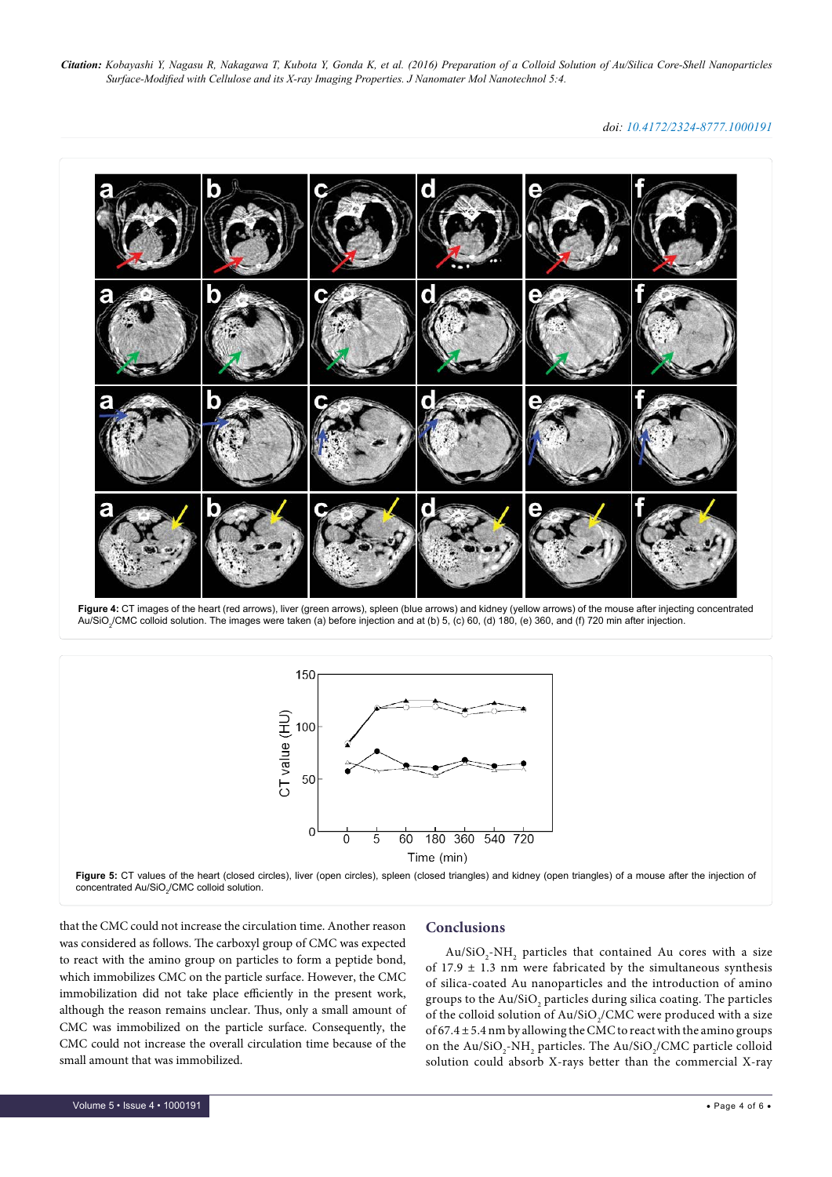*Citation: Kobayashi Y, Nagasu R, Nakagawa T, Kubota Y, Gonda K, et al. (2016) Preparation of a Colloid Solution of Au/Silica Core-Shell Nanoparticles Surface-Modified with Cellulose and its X-ray Imaging Properties. J Nanomater Mol Nanotechnol 5:4.*

### *doi: 10.4172/2324-8777.1000191*

<span id="page-3-0"></span>

**Figure 4:** CT images of the heart (red arrows), liver (green arrows), spleen (blue arrows) and kidney (yellow arrows) of the mouse after injecting concentrated Au/SiO<sub>2</sub>/CMC colloid solution. The images were taken (a) before injection and at (b) 5, (c) 60, (d) 180, (e) 360, and (f) 720 min after injection.

<span id="page-3-1"></span>

that the CMC could not increase the circulation time. Another reason was considered as follows. The carboxyl group of CMC was expected to react with the amino group on particles to form a peptide bond, which immobilizes CMC on the particle surface. However, the CMC immobilization did not take place efficiently in the present work, although the reason remains unclear. Thus, only a small amount of CMC was immobilized on the particle surface. Consequently, the CMC could not increase the overall circulation time because of the small amount that was immobilized.

# **Conclusions**

 $Au/SiO<sub>2</sub>-NH<sub>2</sub>$  particles that contained Au cores with a size of  $17.9 \pm 1.3$  nm were fabricated by the simultaneous synthesis of silica-coated Au nanoparticles and the introduction of amino groups to the  $\mathrm{Au/SiO}_{_2}$  particles during silica coating. The particles of the colloid solution of  $Au/SiO_2/CMC$  were produced with a size of 67.4 ± 5.4 nm by allowing the CMC to react with the amino groups on the  $Au/SiO_2-NH_2$  particles. The  $Au/SiO_2/CMC$  particle colloid solution could absorb X-rays better than the commercial X-ray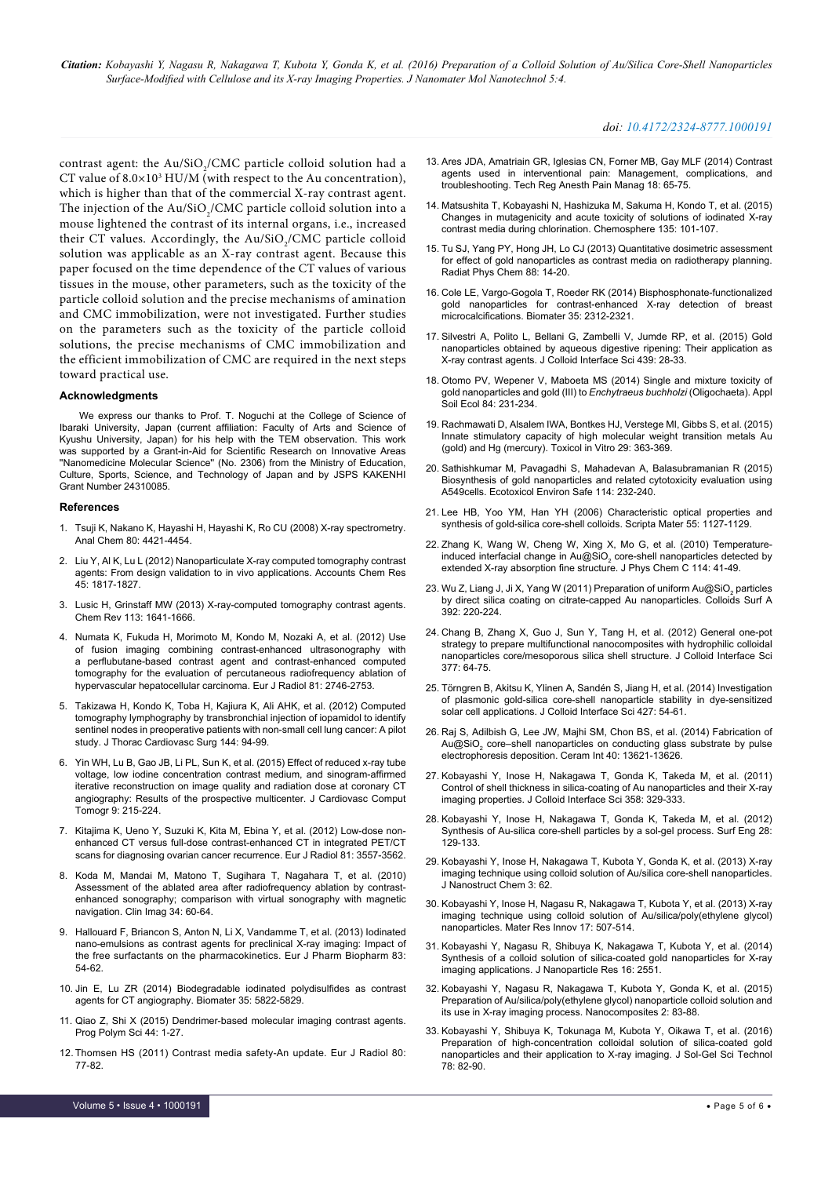*Citation: Kobayashi Y, Nagasu R, Nakagawa T, Kubota Y, Gonda K, et al. (2016) Preparation of a Colloid Solution of Au/Silica Core-Shell Nanoparticles Surface-Modified with Cellulose and its X-ray Imaging Properties. J Nanomater Mol Nanotechnol 5:4.*

contrast agent: the  $\text{Au/SiO}_2/\text{CMC}$  particle colloid solution had a CT value of  $8.0 \times 10^3$  HU/M (with respect to the Au concentration), which is higher than that of the commercial X-ray contrast agent. The injection of the  $Au/SiO_2/CMC$  particle colloid solution into a mouse lightened the contrast of its internal organs, i.e., increased their CT values. Accordingly, the  $Au/SiO_2/CMC$  particle colloid solution was applicable as an X-ray contrast agent. Because this paper focused on the time dependence of the CT values of various tissues in the mouse, other parameters, such as the toxicity of the particle colloid solution and the precise mechanisms of amination and CMC immobilization, were not investigated. Further studies on the parameters such as the toxicity of the particle colloid solutions, the precise mechanisms of CMC immobilization and the efficient immobilization of CMC are required in the next steps toward practical use.

#### **Acknowledgments**

We express our thanks to Prof. T. Noguchi at the College of Science of Ibaraki University, Japan (current affiliation: Faculty of Arts and Science of Kyushu University, Japan) for his help with the TEM observation. This work was supported by a Grant-in-Aid for Scientific Research on Innovative Areas ''Nanomedicine Molecular Science'' (No. 2306) from the Ministry of Education, Culture, Sports, Science, and Technology of Japan and by JSPS KAKENHI Grant Number 24310085.

#### **References**

- <span id="page-4-0"></span>1. Tsuji K, Nakano K, Hayashi H, Hayashi K, Ro CU (2008) X-ray [spectrometry.](http://pubs.acs.org/doi/abs/10.1021/ac800678s)  Anal Chem [80: 4421-4454.](http://pubs.acs.org/doi/abs/10.1021/ac800678s)
- 2. Liu Y, Al K, Lu [L \(2012\) Nanoparticulate](http://pubs.acs.org/doi/abs/10.1021/ar300150c) X-ray computed tomography contrast agents: From design validation to in vivo [applications. Accounts](http://pubs.acs.org/doi/abs/10.1021/ar300150c) Chem Res [45: 1817-1827.](http://pubs.acs.org/doi/abs/10.1021/ar300150c)
- <span id="page-4-1"></span>3. Lusic H, Grinstaff [MW \(2013\) X-ray-computed](http://pubs.acs.org/doi/abs/10.1021/cr200358s) tomography contrast agents. Chem Rev [113: 1641-1666.](http://pubs.acs.org/doi/abs/10.1021/cr200358s)
- <span id="page-4-2"></span>4. Numata K, Fukuda [H, Morimoto](http://www.sciencedirect.com/science/article/pii/S0720048X11008308) M, Kondo M, Nozaki A, et al. (2012) Use of fusion imaging combining [contrast-enhanced](http://www.sciencedirect.com/science/article/pii/S0720048X11008308) ultrasonography with a perflubutane-based contrast agent and [contrast-enhanced](http://www.sciencedirect.com/science/article/pii/S0720048X11008308) computed tomography for the evaluation of percutaneous [radiofrequency](http://www.sciencedirect.com/science/article/pii/S0720048X11008308) ablation of hypervascular hepatocellular [carcinoma. Eur](http://www.sciencedirect.com/science/article/pii/S0720048X11008308) J Radiol 81: 2746-2753.
- 5. Takizawa H, Kondo K, Toba H, Kajiura K, Ali AHK, et [al. \(2012\) Computed](http://www.sciencedirect.com/science/article/pii/S0022522312003558) tomography lymphography by [transbronchial](http://www.sciencedirect.com/science/article/pii/S0022522312003558) injection of iopamidol to identify sentinel nodes in [preoperative](http://www.sciencedirect.com/science/article/pii/S0022522312003558) patients with non-small cell lung cancer: A pilot study. J Thorac Cardiovasc Surg [144: 94-99.](http://www.sciencedirect.com/science/article/pii/S0022522312003558)
- 6. Yin WH, Lu B, Gao JB, Li PL, Sun K, et [al. \(2015\) Effect](http://www.journalofcardiovascularct.com/article/S1934-5925(15)00011-8/abstract) of reduced x-ray tube voltage, low iodine [concentration](http://www.journalofcardiovascularct.com/article/S1934-5925(15)00011-8/abstract) contrast medium, and sinogram-affirmed iterative [reconstruction](http://www.journalofcardiovascularct.com/article/S1934-5925(15)00011-8/abstract) on image quality and radiation dose at coronary CT angiography: Results of the prospective [multicenter. J](http://www.journalofcardiovascularct.com/article/S1934-5925(15)00011-8/abstract) Cardiovasc Comput Tomogr [9: 215-224.](http://www.journalofcardiovascularct.com/article/S1934-5925(15)00011-8/abstract)
- 7. Kitajima K, Ueno Y, Suzuki K, Kita M, Ebina Y, et [al. \(2012\) Low-dose](http://www.sciencedirect.com/science/article/pii/S0720048X12001179) nonenhanced CT versus full-dose [contrast-enhanced](http://www.sciencedirect.com/science/article/pii/S0720048X12001179) CT in integrated PET/CT scans for diagnosing ovarian cancer [recurrence. Eur](http://www.sciencedirect.com/science/article/pii/S0720048X12001179) J Radiol 81: 3557-3562.
- <span id="page-4-3"></span>8. Koda M, Mandai M, Matono T, Sugihara [T, Nagahara](http://www.sciencedirect.com/science/article/pii/S0899707109000850) T, et al. (2010) Assessment of the ablated area after [radiofrequency](http://www.sciencedirect.com/science/article/pii/S0899707109000850) ablation by contrastenhanced [sonography; comparison](http://www.sciencedirect.com/science/article/pii/S0899707109000850) with virtual sonography with magnetic [navigation. Clin](http://www.sciencedirect.com/science/article/pii/S0899707109000850) Imag 34: 60-64.
- <span id="page-4-4"></span>9. Hallouard F, Briancon S, Anton N, Li X, Vandamme T, et al. (2013) Iodinated nano-emulsions as contrast agents for preclinical X-ray imaging: Impact of the free surfactants on the pharmacokinetics. Eur J Pharm Biopharm 83: 54-62.
- 10. Jin E, Lu ZR [\(2014\) Biodegradable](http://www.pubpdf.com/pub/24768156/Biodegradable-iodinated-polydisulfides-as-contrast-agents-for-CT-angiography) iodinated polydisulfides as contrast agents for CT [angiography. Biomater](http://www.pubpdf.com/pub/24768156/Biodegradable-iodinated-polydisulfides-as-contrast-agents-for-CT-angiography) 35: 5822-5829.
- <span id="page-4-5"></span>11. Qiao Z, Shi [X \(2015\) Dendrimer-based](http://www.sciencedirect.com/science/article/pii/S0079670014001014) molecular imaging contrast agents. Prog Polym Sci [44: 1-27.](http://www.sciencedirect.com/science/article/pii/S0079670014001014)
- <span id="page-4-6"></span>12. Thomsen [HS \(2011\) Contrast](http://www.sciencedirect.com/science/article/pii/S0720048X11001446) media safety-An update. Eur J Radiol 80: [77-82.](http://www.sciencedirect.com/science/article/pii/S0720048X11001446)

#### *doi: 10.4172/2324-8777.1000191*

- 13. Ares JDA, Amatriain GR, Iglesias CN, Forner MB, Gay [MLF \(2014\) Contrast](http://www.sciencedirect.com/science/article/pii/S1084208X15000117) agents used in interventional [pain: Management, complications, and](http://www.sciencedirect.com/science/article/pii/S1084208X15000117) [troubleshooting. Tech](http://www.sciencedirect.com/science/article/pii/S1084208X15000117) Reg Anesth Pain Manag 18: 65-75.
- <span id="page-4-7"></span>14. Matsushita T, Kobayashi [N, Hashizuka](http://www.sciencedirect.com/science/article/pii/S0045653515003264) M, Sakuma H, Kondo T, et al. (2015) Changes in [mutagenicity](http://www.sciencedirect.com/science/article/pii/S0045653515003264) and acute toxicity of solutions of iodinated X-ray contrast media during [chlorination. Chemosphere](http://www.sciencedirect.com/science/article/pii/S0045653515003264) 135: 101-107.
- <span id="page-4-8"></span>15. Tu SJ, Yang PY, Hong JH, Lo [CJ \(2013\) Quantitative](http://www.sciencedirect.com/science/article/pii/S0969806X13001539) dosimetric assessment for effect of gold [nanoparticles](http://www.sciencedirect.com/science/article/pii/S0969806X13001539) as contrast media on radiotherapy planning. Radiat Phys Chem [88: 14-20.](http://www.sciencedirect.com/science/article/pii/S0969806X13001539)
- 16. Cole LE, Vargo-Gogola T, Roeder RK (2014) Bisphosphonate-functionalized gold nanoparticles for contrast-enhanced X-ray detection of breast microcalcifications. Biomater 35: 2312-2321.
- <span id="page-4-9"></span>17. Silvestri A, Polito L, Bellani G, Zambelli V, Jumde RP, et [al. \(2015\) Gold](http://www.sciencedirect.com/science/article/pii/S0021979714007796) nanoparticles obtained by aqueous digestive [ripening: Their](http://www.sciencedirect.com/science/article/pii/S0021979714007796) application as X-ray contrast agents. J Colloid Interface Sci [439: 28-33.](http://www.sciencedirect.com/science/article/pii/S0021979714007796)
- <span id="page-4-10"></span>18. Otomo PV, Wepener V, Maboeta [MS \(2014\) Single](http://www.sciencedirect.com/science/article/pii/S0929139314002121) and mixture toxicity of gold nanoparticles and gold (III) to *Enchytraeus buchholzi* [\(Oligochaeta\). Appl](http://www.sciencedirect.com/science/article/pii/S0929139314002121) Soil Ecol [84: 231-234.](http://www.sciencedirect.com/science/article/pii/S0929139314002121)
- 19. Rachmawati D, Alsalem [IWA, Bontkes](http://www.sciencedirect.com/science/article/pii/S0887233314002008) HJ, Verstege MI, Gibbs S, et al. (2015) Innate [stimulatory](http://www.sciencedirect.com/science/article/pii/S0887233314002008) capacity of high molecular weight transition metals Au (gold) and [Hg \(mercury\).](http://www.sciencedirect.com/science/article/pii/S0887233314002008) Toxicol in Vitro 29: 363-369.
- <span id="page-4-11"></span>20. Sathishkumar M, Pavagadhi S, Mahadevan [A, Balasubramanian](http://www.sciencedirect.com/science/article/pii/S0147651314001250) R (2015) Biosynthesis of gold [nanoparticles](http://www.sciencedirect.com/science/article/pii/S0147651314001250) and related cytotoxicity evaluation using A549cells. Ecotoxicol Environ Safe [114: 232-240.](http://www.sciencedirect.com/science/article/pii/S0147651314001250)
- <span id="page-4-12"></span>21. Lee HB, Yoo YM, Han [YH \(2006\) Characteristic](http://www.sciencedirect.com/science/article/pii/S1359646206006282) optical properties and synthesis of gold-silica core-shell [colloids. Scripta](http://www.sciencedirect.com/science/article/pii/S1359646206006282) Mater 55: 1127-1129.
- 22. Zhang K, Wang W, Cheng W, Xing X, Mo G, et [al. \(2010\) Temperature](http://pubs.acs.org/doi/abs/10.1021/jp907815b)induced interfacial change in Au@SiO<sub>2</sub> core-shell [nanoparticles](http://pubs.acs.org/doi/abs/10.1021/jp907815b) detected by extended X-ray absorption fine structure. J Phys Chem C [114: 41-49.](http://pubs.acs.org/doi/abs/10.1021/jp907815b)
- 23. Wu Z, Liang J, Ji X, Yang [W \(2011\) Preparation](http://www.sciencedirect.com/science/article/pii/S0927775711006315) of uniform Au@SiO<sub>2</sub> particles by direct silica coating on citrate-capped Au [nanoparticles. Colloids](http://www.sciencedirect.com/science/article/pii/S0927775711006315) Surf A [392: 220-224.](http://www.sciencedirect.com/science/article/pii/S0927775711006315)
- 24. Chang B, Zhang X, Guo J, Sun Y, Tang H, et al. (2012) General one-pot strategy to prepare multifunctional nanocomposites with hydrophilic colloidal nanoparticles core/mesoporous silica shell structure. J Colloid Interface Sci 377: 64-75.
- 25. Törngren B, Akitsu K, Ylinen A, Sandén S, Jiang H, et [al. \(2014\) Investigation](http://www.pubfacts.com/detail/24388614/Investigation-of-plasmonic-gold-silica-core-shell-nanoparticle-stability-in-dye-sensitized-solar-cel) of plasmonic gold-silica core-shell nanoparticle stability in [dye-sensitized](http://www.pubfacts.com/detail/24388614/Investigation-of-plasmonic-gold-silica-core-shell-nanoparticle-stability-in-dye-sensitized-solar-cel) solar cell [applications. J](http://www.pubfacts.com/detail/24388614/Investigation-of-plasmonic-gold-silica-core-shell-nanoparticle-stability-in-dye-sensitized-solar-cel) Colloid Interface Sci 427: 54-61.
- <span id="page-4-13"></span>26. Raj S, Adilbish G, Lee JW, Majhi SM, Chon BS, et [al. \(2014\) Fabrication](http://www.sciencedirect.com/science/article/pii/S0272884214008104) of Au@SiO<sub>2</sub> core–shell [nanoparticles](http://www.sciencedirect.com/science/article/pii/S0272884214008104) on conducting glass substrate by pulse electrophoresis [deposition. Ceram](http://www.sciencedirect.com/science/article/pii/S0272884214008104) Int 40: 13621-13626.
- <span id="page-4-14"></span>27. Kobayashi Y, Inose [H, Nakagawa](http://www.sciencedirect.com/science/article/pii/S0021979711000749) T, Gonda K, Takeda M, et al. (2011) Control of shell thickness in silica-coating of Au [nanoparticles](http://www.sciencedirect.com/science/article/pii/S0021979711000749) and their X-ray imaging properties. J Colloid Interface Sci [358: 329-333.](http://www.sciencedirect.com/science/article/pii/S0021979711000749)
- 28. Kobayashi Y, Inose [H, Nakagawa](http://www.tandfonline.com/doi/abs/10.1179/1743294411Y.0000000069#.V6h2n_l97Dc) T, Gonda K, Takeda M, et al. (2012) Synthesis of Au-silica core-shell particles by a sol-gel [process. Surf](http://www.tandfonline.com/doi/abs/10.1179/1743294411Y.0000000069#.V6h2n_l97Dc) Eng 28: [129-133.](http://www.tandfonline.com/doi/abs/10.1179/1743294411Y.0000000069#.V6h2n_l97Dc)
- <span id="page-4-17"></span>29. Kobayashi Y, Inose H, Nakagawa T, Kubota Y, Gonda K, et [al. \(2013\) X-ray](http://link.springer.com/article/10.1186/2193-8865-3-62) imaging technique using colloid solution of Au/silica core-shell [nanoparticles.](http://link.springer.com/article/10.1186/2193-8865-3-62)  J [Nanostruct](http://link.springer.com/article/10.1186/2193-8865-3-62) Chem 3: 62.
- <span id="page-4-18"></span>30. Kobayashi Y, Inose H, Nagasu R, Nakagawa T, Kubota Y, et [al. \(2013\) X-ray](http://download.springer.com/static/pdf/719/art%253A10.1186%252F2193-8865-3-62.pdf?originUrl=http%3A%2F%2Flink.springer.com%2Farticle%2F10.1186%2F2193-8865-3-62&token2=exp=1470659470~acl=%2Fstatic%2Fpdf%2F719%2Fart%25253A10.1186%25252F2193-8865-3-62.pdf%3ForiginUrl%3Dhttp%253A%252F%252Flink.springer.com%252Farticle%252F10.1186%252F2193-8865-3-62*~hmac=586f5bdd69ad807366d3a8eaa118e8f1720e514a4701351eaf8220a3b072a614) imaging technique using colloid solution of [Au/silica/poly\(ethylene](http://download.springer.com/static/pdf/719/art%253A10.1186%252F2193-8865-3-62.pdf?originUrl=http%3A%2F%2Flink.springer.com%2Farticle%2F10.1186%2F2193-8865-3-62&token2=exp=1470659470~acl=%2Fstatic%2Fpdf%2F719%2Fart%25253A10.1186%25252F2193-8865-3-62.pdf%3ForiginUrl%3Dhttp%253A%252F%252Flink.springer.com%252Farticle%252F10.1186%252F2193-8865-3-62*~hmac=586f5bdd69ad807366d3a8eaa118e8f1720e514a4701351eaf8220a3b072a614) glycol) [nanoparticles. Mater](http://download.springer.com/static/pdf/719/art%253A10.1186%252F2193-8865-3-62.pdf?originUrl=http%3A%2F%2Flink.springer.com%2Farticle%2F10.1186%2F2193-8865-3-62&token2=exp=1470659470~acl=%2Fstatic%2Fpdf%2F719%2Fart%25253A10.1186%25252F2193-8865-3-62.pdf%3ForiginUrl%3Dhttp%253A%252F%252Flink.springer.com%252Farticle%252F10.1186%252F2193-8865-3-62*~hmac=586f5bdd69ad807366d3a8eaa118e8f1720e514a4701351eaf8220a3b072a614) Res Innov 17: 507-514.
- <span id="page-4-16"></span>31. Kobayashi Y, Nagasu R, Shibuya [K, Nakagawa](http://link.springer.com/article/10.1007/s11051-014-2551-7#page-1) T, Kubota Y, et al. (2014) Synthesis of a colloid solution of silica-coated gold [nanoparticles](http://link.springer.com/article/10.1007/s11051-014-2551-7#page-1) for X-ray imaging [applications. J](http://link.springer.com/article/10.1007/s11051-014-2551-7#page-1) Nanoparticle Res 16: 2551.
- 32. Kobayashi Y, Nagasu R[, Nakagawa](http://www.tandfonline.com/doi/full/10.1179/2055033215Y.0000000003) T, Kubota Y, Gonda K, et al. (2015) Preparation of [Au/silica/poly\(ethylene](http://www.tandfonline.com/doi/full/10.1179/2055033215Y.0000000003) glycol) nanoparticle colloid solution and its use in X-ray imaging [process. Nanocomposites](http://www.tandfonline.com/doi/full/10.1179/2055033215Y.0000000003) 2: 83-88.
- <span id="page-4-15"></span>33. Kobayashi Y, Shibuya [K, Tokunaga](http://link.springer.com/article/10.1007/s10971-015-3921-z) M, Kubota Y, Oikawa T, et al. (2016) Preparation of [high-concentration](http://link.springer.com/article/10.1007/s10971-015-3921-z) colloidal solution of silica-coated gold [nanoparticles](http://link.springer.com/article/10.1007/s10971-015-3921-z) and their application to X-ray imaging. J Sol-Gel Sci Technol [78: 82-90.](http://link.springer.com/article/10.1007/s10971-015-3921-z)